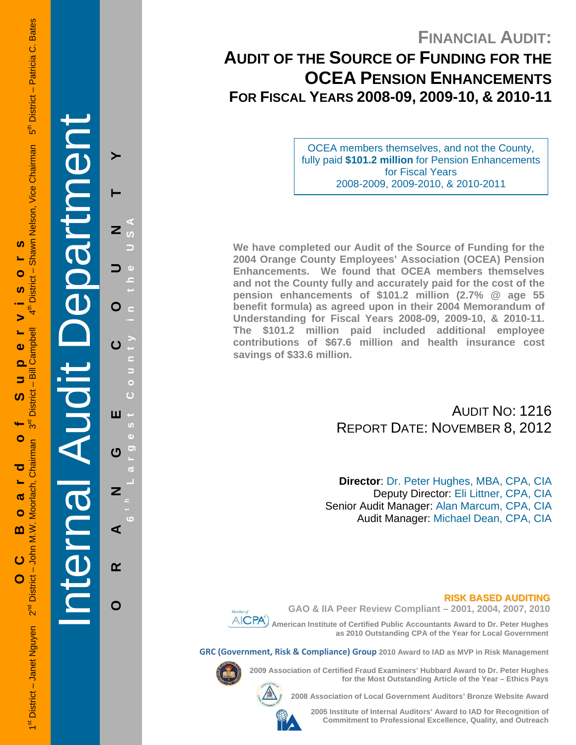# **FINANCIAL AUDIT:**

# **AUDIT OF THE SOURCE OF FUNDING FOR THE OCEA PENSION ENHANCEMENTS FOR FISCAL YEARS 2008-09, 2009-10, & 2010-11**

OCEA members themselves, and not the County, fully paid **\$101.2 million** for Pension Enhancements for Fiscal Years 2008-2009, 2009-2010, & 2010-2011

**We have completed our Audit of the Source of Funding for the 2004 Orange County Employees' Association (OCEA) Pension Enhancements. We found that OCEA members themselves and not the County fully and accurately paid for the cost of the pension enhancements of \$101.2 million (2.7% @ age 55 benefit formula) as agreed upon in their 2004 Memorandum of Understanding for Fiscal Years 2008-09, 2009-10, & 2010-11. The \$101.2 million paid included additional employee contributions of \$67.6 million and health insurance cost savings of \$33.6 million.** 

> AUDIT NO: 1216 REPORT DATE: NOVEMBER 8, 2012

**Director**: Dr. Peter Hughes, MBA, CPA, CIA Deputy Director: Eli Littner, CPA, CIA Senior Audit Manager: Alan Marcum, CPA, CIA Audit Manager: Michael Dean, CPA, CIA

# **RISK BASED AUDITING**



**GAO & IIA Peer Review Compliant – 2001, 2004, 2007, 2010** 

 **American Institute of Certified Public Accountants Award to Dr. Peter Hughes as 2010 Outstanding CPA of the Year for Local Government** 

**GRC (Government, Risk & Compliance) Group 2010 Award to IAD as MVP in Risk Management** 



**2009 Association of Certified Fraud Examiners' Hubbard Award to Dr. Peter Hughes** 



**2008 Association of Local Government Auditors' Bronze Website Award** 

**2005 Institute of Internal Auditors' Award to IAD for Recognition of Commitment to Professional Excellence, Quality, and Outreach**

**for the Most Outstanding Article of the Year – Ethics Pays** 



 $\boldsymbol{\omega}$ 

Ō

**S** 

5

 $\bullet$  $\overline{\mathbf{O}}$ 

5

ທ

O

ರ

൹  $\bullet$ 

മ

 $\overline{c}$ 

O

Internal Audit Department **ORANGE COUNTY 6 t h Lar** O ш U Z ⋖  $\alpha$ 

O

**g est Count y in the USA**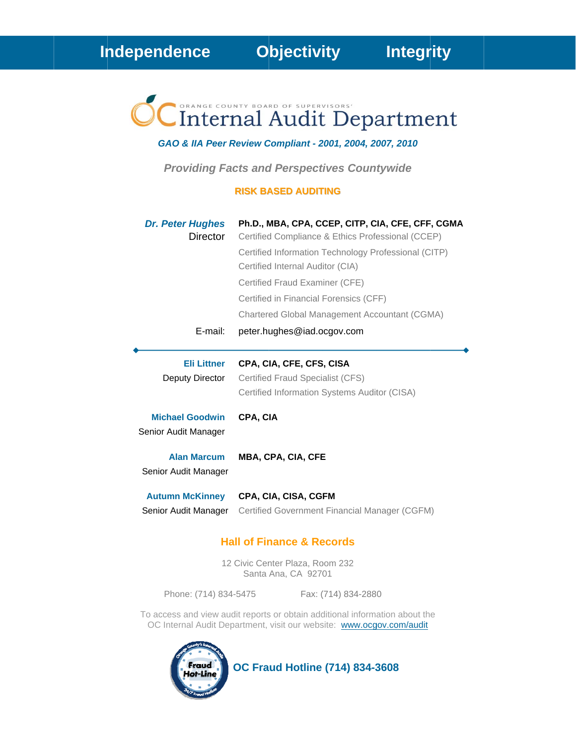# Internal Audit Department

### GAO & IIA Peer Review Compliant - 2001, 2004, 2007, 2010

**Providing Facts and Perspectives Countywide** 

#### **RISK BASED AUDITING**

| <b>Dr. Peter Hughes</b><br><b>Director</b>     | Ph.D., MBA, CPA, CCEP, CITP, CIA, CFE, CFF, CGMA<br>Certified Compliance & Ethics Professional (CCEP)<br>Certified Information Technology Professional (CITP)<br>Certified Internal Auditor (CIA)<br>Certified Fraud Examiner (CFE)<br>Certified in Financial Forensics (CFF)<br>Chartered Global Management Accountant (CGMA) |
|------------------------------------------------|--------------------------------------------------------------------------------------------------------------------------------------------------------------------------------------------------------------------------------------------------------------------------------------------------------------------------------|
| E-mail:                                        | peter.hughes@iad.ocgov.com                                                                                                                                                                                                                                                                                                     |
| <b>Eli Littner</b><br>Deputy Director          | CPA, CIA, CFE, CFS, CISA<br>Certified Fraud Specialist (CFS)<br>Certified Information Systems Auditor (CISA)                                                                                                                                                                                                                   |
| <b>Michael Goodwin</b><br>Senior Audit Manager | CPA, CIA                                                                                                                                                                                                                                                                                                                       |
| <b>Alan Marcum</b><br>Senior Audit Manager     | <b>MBA, CPA, CIA, CFE</b>                                                                                                                                                                                                                                                                                                      |
| <b>Autumn McKinney</b><br>Senior Audit Manager | CPA, CIA, CISA, CGFM<br>Certified Government Financial Manager (CGFM)                                                                                                                                                                                                                                                          |

# **Hall of Finance & Records**

12 Civic Center Plaza, Room 232 Santa Ana, CA 92701

Phone: (714) 834-5475

Fax: (714) 834-2880

To access and view audit reports or obtain additional information about the OC Internal Audit Department, visit our website: www.ocgov.com/audit



**OC Fraud Hotline (714) 834-3608**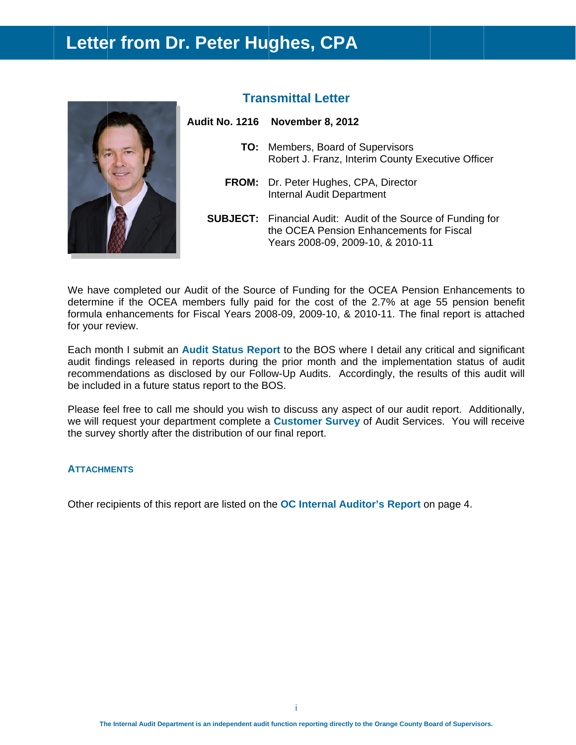# Letter from Dr. Peter Hughes, CPA



# **Transmittal Letter**

| dit No. 1216 November 8, 2012                                                                 |
|-----------------------------------------------------------------------------------------------|
| <b>TO:</b> Members, Board of Supervisors<br>Robert J. Franz, Interim County Executive Officer |
| <b>FROM:</b> Dr. Peter Hughes, CPA, Director<br><b>Internal Audit Department</b>              |
| <b>SUBJECT:</b> Financial Audit: Audit of the Source of Funding for                           |

Years 2008-09, 2009-10, & 2010-11

the OCEA Pension Enhancements for Fiscal

We have completed our Audit of the Source of Funding for the OCEA Pension Enhancements to determine if the OCEA members fully paid for the cost of the 2.7% at age 55 pension benefit formula enhancements for Fiscal Years 2008-09, 2009-10, & 2010-11. The final report is attached

Each month I submit an Audit Status Report to the BOS where I detail any critical and significant audit findings released in reports during the prior month and the implementation status of audit recommendations as disclosed by our Follow-Up Audits. Accordingly, the results of this audit will be included in a future status report to the BOS.

Please feel free to call me should you wish to discuss any aspect of our audit report. Additionally, we will request your department complete a Customer Survey of Audit Services. You will receive the survey shortly after the distribution of our final report.

# **ATTACHMENTS**

for your review.

Other recipients of this report are listed on the OC Internal Auditor's Report on page 4.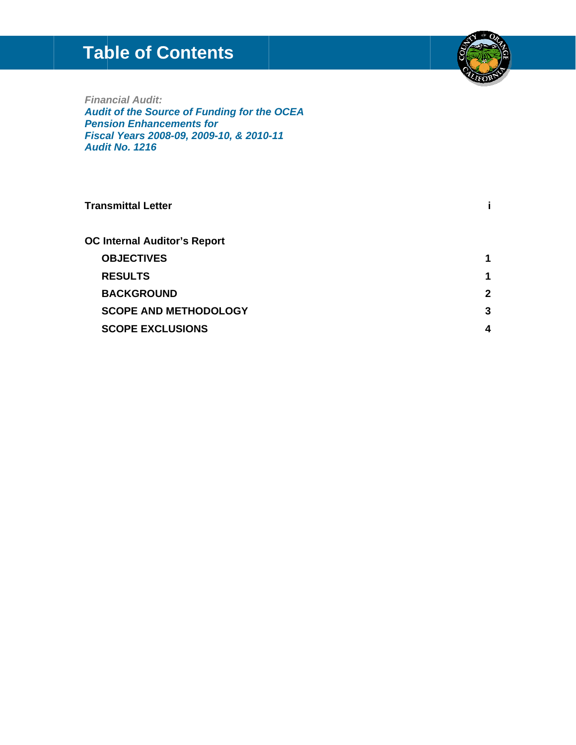# **Table of Contents**



**Financial Audit:** Audit of the Source of Funding for the OCEA **Pension Enhancements for** Fiscal Years 2008-09, 2009-10, & 2010-11 **Audit No. 1216** 

#### **Transmittal Letter** j. **OC Internal Auditor's Report OBJECTIVES**  $\mathbf 1$ **RESULTS**  $\overline{1}$ **BACKGROUND**  $\overline{2}$ **SCOPE AND METHODOLOGY**  $3<sup>1</sup>$ **SCOPE EXCLUSIONS**  $\overline{\mathbf{4}}$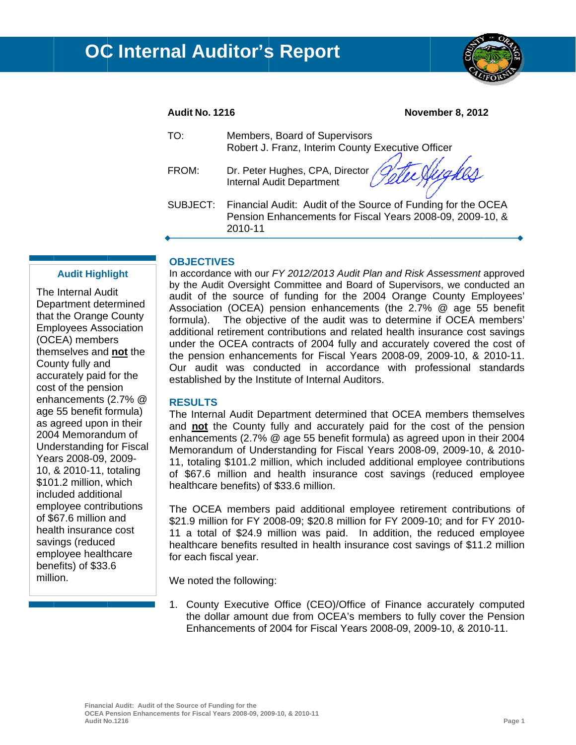

# **Audit No. 1216**

#### **November 8, 2012**

| TO:   | Members, Board of Supervisors<br>Robert J. Franz, Interim County Executive Officer                                                            |
|-------|-----------------------------------------------------------------------------------------------------------------------------------------------|
| FROM: | Dr. Peter Hughes, CPA, Director Gette Nugh<br>Van                                                                                             |
|       | SUBJECT: Financial Audit: Audit of the Source of Funding for the OCEA<br>Pension Enhancements for Fiscal Years 2008-09, 2009-10, &<br>2010-11 |

# **OBJECTIVES**

The Internal Audit Department determined that the Orange County **Employees Association** (OCEA) members themselves and not the County fully and accurately paid for the cost of the pension enhancements (2.7% @ age 55 benefit formula) as agreed upon in their 2004 Memorandum of Understanding for Fiscal Years 2008-09, 2009-10, & 2010-11, totaling \$101.2 million, which included additional emplovee contributions of \$67.6 million and health insurance cost savings (reduced employee healthcare benefits) of \$33.6 million.

**Audit Highlight** 

In accordance with our FY 2012/2013 Audit Plan and Risk Assessment approved by the Audit Oversight Committee and Board of Supervisors, we conducted an audit of the source of funding for the 2004 Orange County Employees' Association (OCEA) pension enhancements (the 2.7% @ age 55 benefit The objective of the audit was to determine if OCEA members' formula). additional retirement contributions and related health insurance cost savings under the OCEA contracts of 2004 fully and accurately covered the cost of the pension enhancements for Fiscal Years 2008-09, 2009-10, & 2010-11. Our audit was conducted in accordance with professional standards established by the Institute of Internal Auditors.

# **RESULTS**

The Internal Audit Department determined that OCEA members themselves and not the County fully and accurately paid for the cost of the pension enhancements (2.7% @ age 55 benefit formula) as agreed upon in their 2004 Memorandum of Understanding for Fiscal Years 2008-09, 2009-10, & 2010-11, totaling \$101.2 million, which included additional employee contributions of \$67.6 million and health insurance cost savings (reduced employee healthcare benefits) of \$33.6 million.

The OCEA members paid additional employee retirement contributions of \$21.9 million for FY 2008-09; \$20.8 million for FY 2009-10; and for FY 2010-11 a total of \$24.9 million was paid. In addition, the reduced employee healthcare benefits resulted in health insurance cost savings of \$11.2 million for each fiscal year.

We noted the following:

1. County Executive Office (CEO)/Office of Finance accurately computed the dollar amount due from OCEA's members to fully cover the Pension Enhancements of 2004 for Fiscal Years 2008-09, 2009-10, & 2010-11.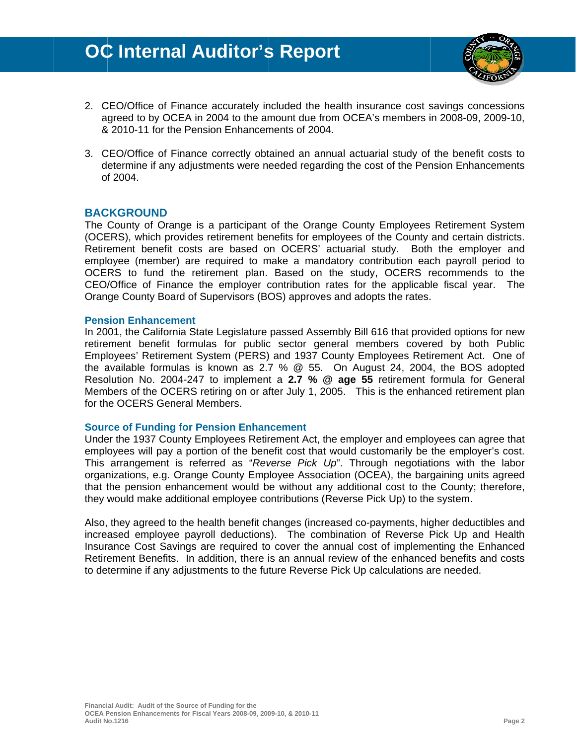# **OC Internal Auditor's Report**



- 2. CEO/Office of Finance accurately included the health insurance cost savings concessions agreed to by OCEA in 2004 to the amount due from OCEA's members in 2008-09, 2009-10, & 2010-11 for the Pension Enhancements of 2004.
- 3. CEO/Office of Finance correctly obtained an annual actuarial study of the benefit costs to determine if any adjustments were needed regarding the cost of the Pension Enhancements of 2004.

# **BACKGROUND**

The County of Orange is a participant of the Orange County Employees Retirement System (OCERS), which provides retirement benefits for employees of the County and certain districts. Retirement benefit costs are based on OCERS' actuarial study. Both the employer and employee (member) are required to make a mandatory contribution each payroll period to OCERS to fund the retirement plan. Based on the study, OCERS recommends to the CEO/Office of Finance the employer contribution rates for the applicable fiscal year. The Orange County Board of Supervisors (BOS) approves and adopts the rates.

#### **Pension Enhancement**

In 2001, the California State Legislature passed Assembly Bill 616 that provided options for new retirement benefit formulas for public sector general members covered by both Public Employees' Retirement System (PERS) and 1937 County Employees Retirement Act. One of the available formulas is known as 2.7 % @ 55. On August 24, 2004, the BOS adopted Resolution No. 2004-247 to implement a 2.7 % @ age 55 retirement formula for General Members of the OCERS retiring on or after July 1, 2005. This is the enhanced retirement plan for the OCERS General Members.

# **Source of Funding for Pension Enhancement**

Under the 1937 County Employees Retirement Act, the employer and employees can agree that employees will pay a portion of the benefit cost that would customarily be the employer's cost. This arrangement is referred as "Reverse Pick Up". Through negotiations with the labor organizations, e.g. Orange County Employee Association (OCEA), the bargaining units agreed that the pension enhancement would be without any additional cost to the County; therefore, they would make additional employee contributions (Reverse Pick Up) to the system.

Also, they agreed to the health benefit changes (increased co-payments, higher deductibles and increased employee payroll deductions). The combination of Reverse Pick Up and Health Insurance Cost Savings are required to cover the annual cost of implementing the Enhanced Retirement Benefits. In addition, there is an annual review of the enhanced benefits and costs to determine if any adjustments to the future Reverse Pick Up calculations are needed.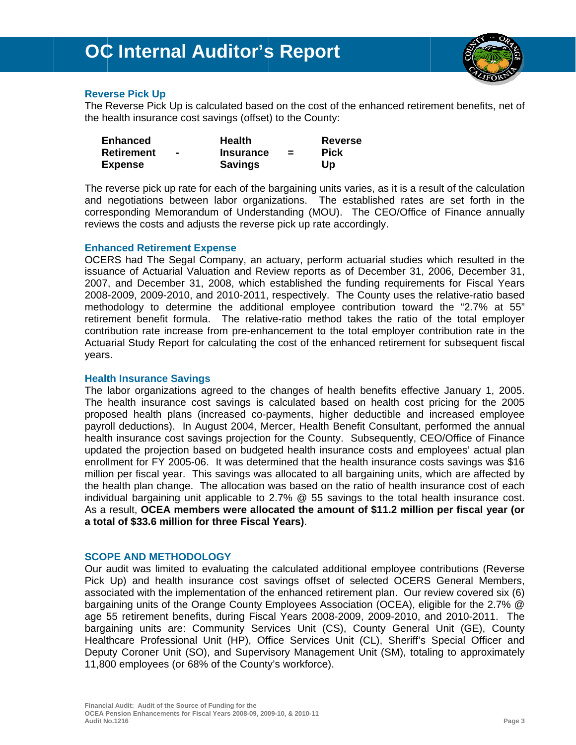# **OC Internal Auditor's Report**



# **Reverse Pick Up**

The Reverse Pick Up is calculated based on the cost of the enhanced retirement benefits, net of the health insurance cost savings (offset) to the County:

| <b>Enhanced</b> | <b>Health</b>    |          | <b>Reverse</b> |
|-----------------|------------------|----------|----------------|
| Retirement      | <b>Insurance</b> | $\equiv$ | <b>Pick</b>    |
| <b>Expense</b>  | <b>Savings</b>   |          | Up             |

The reverse pick up rate for each of the bargaining units varies, as it is a result of the calculation and negotiations between labor organizations. The established rates are set forth in the corresponding Memorandum of Understanding (MOU). The CEO/Office of Finance annually reviews the costs and adjusts the reverse pick up rate accordingly.

# **Enhanced Retirement Expense**

OCERS had The Segal Company, an actuary, perform actuarial studies which resulted in the issuance of Actuarial Valuation and Review reports as of December 31, 2006, December 31, 2007, and December 31, 2008, which established the funding requirements for Fiscal Years 2008-2009, 2009-2010, and 2010-2011, respectively. The County uses the relative-ratio based methodology to determine the additional employee contribution toward the "2.7% at 55" retirement benefit formula. The relative-ratio method takes the ratio of the total employer contribution rate increase from pre-enhancement to the total employer contribution rate in the Actuarial Study Report for calculating the cost of the enhanced retirement for subsequent fiscal years.

# **Health Insurance Savings**

The labor organizations agreed to the changes of health benefits effective January 1, 2005. The health insurance cost savings is calculated based on health cost pricing for the 2005 proposed health plans (increased co-payments, higher deductible and increased employee payroll deductions). In August 2004, Mercer, Health Benefit Consultant, performed the annual health insurance cost savings projection for the County. Subsequently, CEO/Office of Finance updated the projection based on budgeted health insurance costs and employees' actual plan enrollment for FY 2005-06. It was determined that the health insurance costs savings was \$16 million per fiscal year. This savings was allocated to all bargaining units, which are affected by the health plan change. The allocation was based on the ratio of health insurance cost of each individual bargaining unit applicable to 2.7% @ 55 savings to the total health insurance cost. As a result, OCEA members were allocated the amount of \$11.2 million per fiscal year (or a total of \$33.6 million for three Fiscal Years).

# **SCOPE AND METHODOLOGY**

Our audit was limited to evaluating the calculated additional employee contributions (Reverse Pick Up) and health insurance cost savings offset of selected OCERS General Members, associated with the implementation of the enhanced retirement plan. Our review covered six (6) bargaining units of the Orange County Employees Association (OCEA), eligible for the 2.7% @ age 55 retirement benefits, during Fiscal Years 2008-2009, 2009-2010, and 2010-2011. The bargaining units are: Community Services Unit (CS), County General Unit (GE), County Healthcare Professional Unit (HP), Office Services Unit (CL), Sheriff's Special Officer and Deputy Coroner Unit (SO), and Supervisory Management Unit (SM), totaling to approximately 11,800 employees (or 68% of the County's workforce).